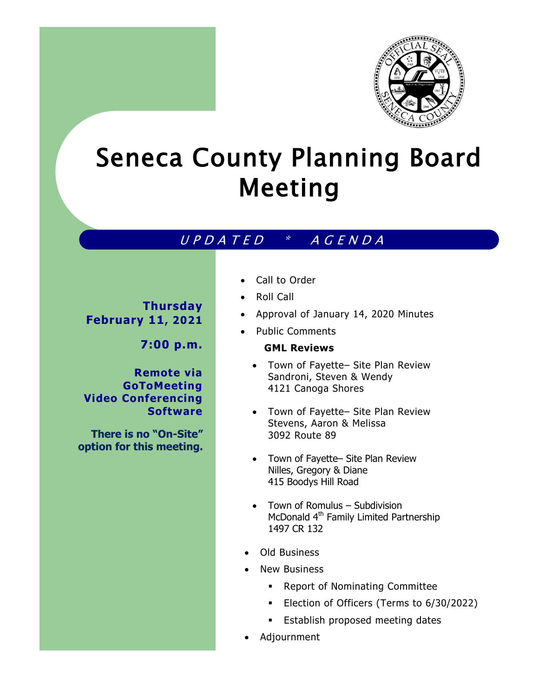

# Seneca County Planning Board Meeting

## U P D A T E D \* A G E N D A

**Thursday February 11, 2021**

**7:00 p.m.**

**Remote via GoToMeeting Video Conferencing Software**

**There is no "On-Site" option for this meeting.** 

- Call to Order
- Roll Call
- Approval of January 14, 2020 Minutes
- Public Comments

#### **GML Reviews**

- Town of Fayette– Site Plan Review Sandroni, Steven & Wendy 4121 Canoga Shores
- Town of Fayette– Site Plan Review Stevens, Aaron & Melissa 3092 Route 89
- Town of Fayette– Site Plan Review Nilles, Gregory & Diane 415 Boodys Hill Road
- Town of Romulus Subdivision McDonald 4<sup>th</sup> Family Limited Partnership 1497 CR 132
- Old Business
- New Business
	- Report of Nominating Committee
	- Election of Officers (Terms to 6/30/2022)
	- **Establish proposed meeting dates**
- Adjournment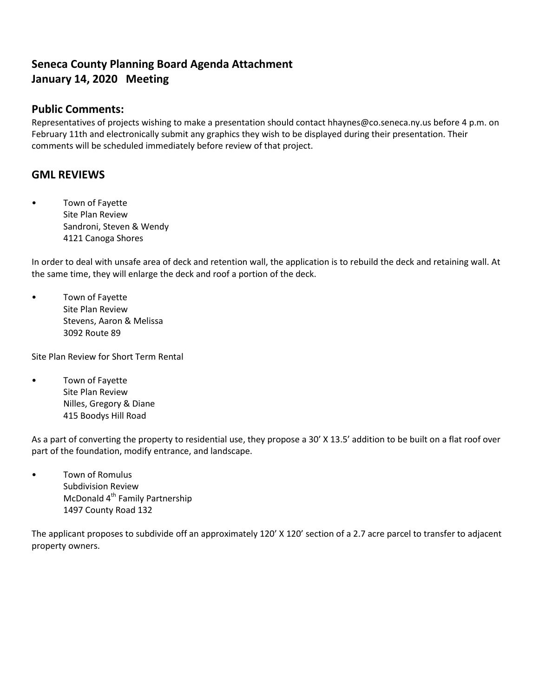## **Seneca County Planning Board Agenda Attachment January 14, 2020 Meeting**

#### **Public Comments:**

Representatives of projects wishing to make a presentation should contact hhaynes@co.seneca.ny.us before 4 p.m. on February 11th and electronically submit any graphics they wish to be displayed during their presentation. Their comments will be scheduled immediately before review of that project.

### **GML REVIEWS**

• Town of Fayette Site Plan Review Sandroni, Steven & Wendy 4121 Canoga Shores

In order to deal with unsafe area of deck and retention wall, the application is to rebuild the deck and retaining wall. At the same time, they will enlarge the deck and roof a portion of the deck.

• Town of Fayette Site Plan Review Stevens, Aaron & Melissa 3092 Route 89

Site Plan Review for Short Term Rental

• Town of Fayette Site Plan Review Nilles, Gregory & Diane 415 Boodys Hill Road

As a part of converting the property to residential use, they propose a 30' X 13.5' addition to be built on a flat roof over part of the foundation, modify entrance, and landscape.

• Town of Romulus Subdivision Review McDonald 4<sup>th</sup> Family Partnership 1497 County Road 132

The applicant proposes to subdivide off an approximately 120' X 120' section of a 2.7 acre parcel to transfer to adjacent property owners.